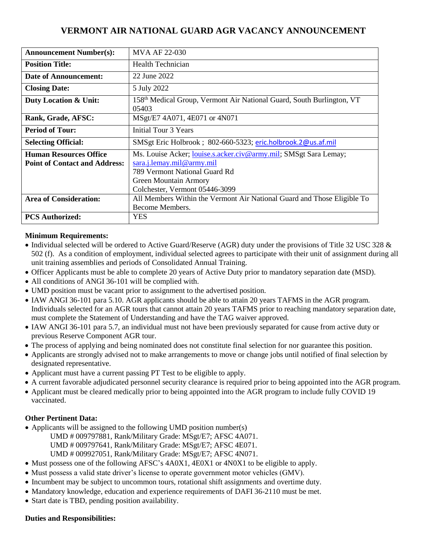# **VERMONT AIR NATIONAL GUARD AGR VACANCY ANNOUNCEMENT**

| <b>Announcement Number(s):</b>                                        | MVA AF 22-030                                                                                                                                                                                           |
|-----------------------------------------------------------------------|---------------------------------------------------------------------------------------------------------------------------------------------------------------------------------------------------------|
| <b>Position Title:</b>                                                | <b>Health Technician</b>                                                                                                                                                                                |
| Date of Announcement:                                                 | 22 June 2022                                                                                                                                                                                            |
| <b>Closing Date:</b>                                                  | 5 July 2022                                                                                                                                                                                             |
| Duty Location & Unit:                                                 | 158 <sup>th</sup> Medical Group, Vermont Air National Guard, South Burlington, VT<br>05403                                                                                                              |
| Rank, Grade, AFSC:                                                    | MSgt/E7 4A071, 4E071 or 4N071                                                                                                                                                                           |
| <b>Period of Tour:</b>                                                | Initial Tour 3 Years                                                                                                                                                                                    |
| <b>Selecting Official:</b>                                            | SMSgt Eric Holbrook; 802-660-5323; eric.holbrook.2@us.af.mil                                                                                                                                            |
| <b>Human Resources Office</b><br><b>Point of Contact and Address:</b> | Ms. Louise Acker; <i>louise.s.acker.civ@army.mil;</i> SMSgt Sara Lemay;<br>sara.j.lemay.mil@army.mil<br>789 Vermont National Guard Rd<br><b>Green Mountain Armory</b><br>Colchester, Vermont 05446-3099 |
| <b>Area of Consideration:</b>                                         | All Members Within the Vermont Air National Guard and Those Eligible To<br>Become Members.                                                                                                              |
| <b>PCS Authorized:</b>                                                | YES                                                                                                                                                                                                     |

## **Minimum Requirements:**

- Individual selected will be ordered to Active Guard/Reserve (AGR) duty under the provisions of Title 32 USC 328 & 502 (f). As a condition of employment, individual selected agrees to participate with their unit of assignment during all unit training assemblies and periods of Consolidated Annual Training.
- Officer Applicants must be able to complete 20 years of Active Duty prior to mandatory separation date (MSD).
- All conditions of ANGI 36-101 will be complied with.
- UMD position must be vacant prior to assignment to the advertised position.
- IAW ANGI 36-101 para 5.10. AGR applicants should be able to attain 20 years TAFMS in the AGR program. Individuals selected for an AGR tours that cannot attain 20 years TAFMS prior to reaching mandatory separation date, must complete the Statement of Understanding and have the TAG waiver approved.
- IAW ANGI 36-101 para 5.7, an individual must not have been previously separated for cause from active duty or previous Reserve Component AGR tour.
- The process of applying and being nominated does not constitute final selection for nor guarantee this position.
- Applicants are strongly advised not to make arrangements to move or change jobs until notified of final selection by designated representative.
- Applicant must have a current passing PT Test to be eligible to apply.
- A current favorable adjudicated personnel security clearance is required prior to being appointed into the AGR program.
- Applicant must be cleared medically prior to being appointed into the AGR program to include fully COVID 19 vaccinated.

### **Other Pertinent Data:**

- Applicants will be assigned to the following UMD position number(s)
	- UMD # 009797881, Rank/Military Grade: MSgt/E7; AFSC 4A071.
	- UMD # 009797641, Rank/Military Grade: MSgt/E7; AFSC 4E071.
	- UMD # 009927051, Rank/Military Grade: MSgt/E7; AFSC 4N071.
- Must possess one of the following AFSC's 4A0X1, 4E0X1 or 4N0X1 to be eligible to apply.
- Must possess a valid state driver's license to operate government motor vehicles (GMV).
- Incumbent may be subject to uncommon tours, rotational shift assignments and overtime duty.
- Mandatory knowledge, education and experience requirements of DAFI 36-2110 must be met.
- Start date is TBD, pending position availability.

#### **Duties and Responsibilities:**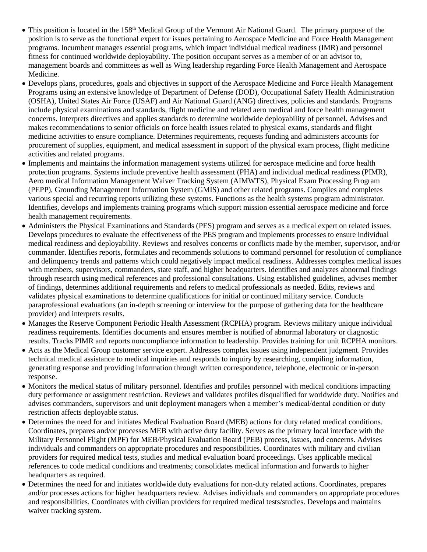- This position is located in the 158<sup>th</sup> Medical Group of the Vermont Air National Guard. The primary purpose of the position is to serve as the functional expert for issues pertaining to Aerospace Medicine and Force Health Management programs. Incumbent manages essential programs, which impact individual medical readiness (IMR) and personnel fitness for continued worldwide deployability. The position occupant serves as a member of or an advisor to, management boards and committees as well as Wing leadership regarding Force Health Management and Aerospace Medicine.
- Develops plans, procedures, goals and objectives in support of the Aerospace Medicine and Force Health Management Programs using an extensive knowledge of Department of Defense (DOD), Occupational Safety Health Administration (OSHA), United States Air Force (USAF) and Air National Guard (ANG) directives, policies and standards. Programs include physical examinations and standards, flight medicine and related aero medical and force health management concerns. Interprets directives and applies standards to determine worldwide deployability of personnel. Advises and makes recommendations to senior officials on force health issues related to physical exams, standards and flight medicine activities to ensure compliance. Determines requirements, requests funding and administers accounts for procurement of supplies, equipment, and medical assessment in support of the physical exam process, flight medicine activities and related programs.
- Implements and maintains the information management systems utilized for aerospace medicine and force health protection programs. Systems include preventive health assessment (PHA) and individual medical readiness (PIMR), Aero medical Information Management Waiver Tracking System (AIMWTS), Physical Exam Processing Program (PEPP), Grounding Management Information System (GMIS) and other related programs. Compiles and completes various special and recurring reports utilizing these systems. Functions as the health systems program administrator. Identifies, develops and implements training programs which support mission essential aerospace medicine and force health management requirements.
- Administers the Physical Examinations and Standards (PES) program and serves as a medical expert on related issues. Develops procedures to evaluate the effectiveness of the PES program and implements processes to ensure individual medical readiness and deployability. Reviews and resolves concerns or conflicts made by the member, supervisor, and/or commander. Identifies reports, formulates and recommends solutions to command personnel for resolution of compliance and delinquency trends and patterns which could negatively impact medical readiness. Addresses complex medical issues with members, supervisors, commanders, state staff, and higher headquarters. Identifies and analyzes abnormal findings through research using medical references and professional consultations. Using established guidelines, advises member of findings, determines additional requirements and refers to medical professionals as needed. Edits, reviews and validates physical examinations to determine qualifications for initial or continued military service. Conducts paraprofessional evaluations (an in-depth screening or interview for the purpose of gathering data for the healthcare provider) and interprets results.
- Manages the Reserve Component Periodic Health Assessment (RCPHA) program. Reviews military unique individual readiness requirements. Identifies documents and ensures member is notified of abnormal laboratory or diagnostic results. Tracks PIMR and reports noncompliance information to leadership. Provides training for unit RCPHA monitors.
- Acts as the Medical Group customer service expert. Addresses complex issues using independent judgment. Provides technical medical assistance to medical inquiries and responds to inquiry by researching, compiling information, generating response and providing information through written correspondence, telephone, electronic or in-person response.
- Monitors the medical status of military personnel. Identifies and profiles personnel with medical conditions impacting duty performance or assignment restriction. Reviews and validates profiles disqualified for worldwide duty. Notifies and advises commanders, supervisors and unit deployment managers when a member's medical/dental condition or duty restriction affects deployable status.
- Determines the need for and initiates Medical Evaluation Board (MEB) actions for duty related medical conditions. Coordinates, prepares and/or processes MEB with active duty facility. Serves as the primary local interface with the Military Personnel Flight (MPF) for MEB/Physical Evaluation Board (PEB) process, issues, and concerns. Advises individuals and commanders on appropriate procedures and responsibilities. Coordinates with military and civilian providers for required medical tests, studies and medical evaluation board proceedings. Uses applicable medical references to code medical conditions and treatments; consolidates medical information and forwards to higher headquarters as required.
- Determines the need for and initiates worldwide duty evaluations for non-duty related actions. Coordinates, prepares and/or processes actions for higher headquarters review. Advises individuals and commanders on appropriate procedures and responsibilities. Coordinates with civilian providers for required medical tests/studies. Develops and maintains waiver tracking system.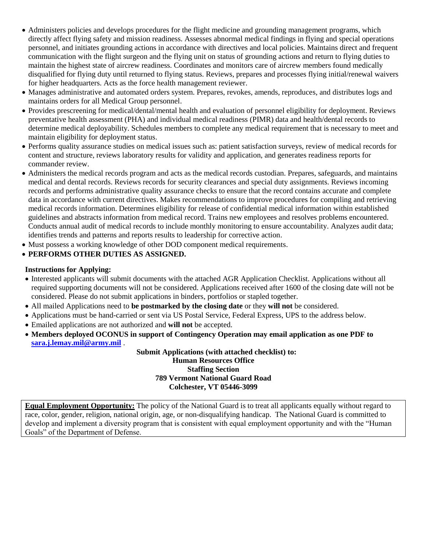- Administers policies and develops procedures for the flight medicine and grounding management programs, which directly affect flying safety and mission readiness. Assesses abnormal medical findings in flying and special operations personnel, and initiates grounding actions in accordance with directives and local policies. Maintains direct and frequent communication with the flight surgeon and the flying unit on status of grounding actions and return to flying duties to maintain the highest state of aircrew readiness. Coordinates and monitors care of aircrew members found medically disqualified for flying duty until returned to flying status. Reviews, prepares and processes flying initial/renewal waivers for higher headquarters. Acts as the force health management reviewer.
- Manages administrative and automated orders system. Prepares, revokes, amends, reproduces, and distributes logs and maintains orders for all Medical Group personnel.
- Provides prescreening for medical/dental/mental health and evaluation of personnel eligibility for deployment. Reviews preventative health assessment (PHA) and individual medical readiness (PIMR) data and health/dental records to determine medical deployability. Schedules members to complete any medical requirement that is necessary to meet and maintain eligibility for deployment status.
- Performs quality assurance studies on medical issues such as: patient satisfaction surveys, review of medical records for content and structure, reviews laboratory results for validity and application, and generates readiness reports for commander review.
- Administers the medical records program and acts as the medical records custodian. Prepares, safeguards, and maintains medical and dental records. Reviews records for security clearances and special duty assignments. Reviews incoming records and performs administrative quality assurance checks to ensure that the record contains accurate and complete data in accordance with current directives. Makes recommendations to improve procedures for compiling and retrieving medical records information. Determines eligibility for release of confidential medical information within established guidelines and abstracts information from medical record. Trains new employees and resolves problems encountered. Conducts annual audit of medical records to include monthly monitoring to ensure accountability. Analyzes audit data; identifies trends and patterns and reports results to leadership for corrective action.
- Must possess a working knowledge of other DOD component medical requirements.

**PERFORMS OTHER DUTIES AS ASSIGNED.**

### **Instructions for Applying:**

- Interested applicants will submit documents with the attached AGR Application Checklist. Applications without all required supporting documents will not be considered. Applications received after 1600 of the closing date will not be considered. Please do not submit applications in binders, portfolios or stapled together.
- All mailed Applications need to **be postmarked by the closing date** or they **will not** be considered.
- Applications must be hand-carried or sent via US Postal Service, Federal Express, UPS to the address below.
- Emailed applications are not authorized and **will not** be accepted.
- **Members deployed OCONUS in support of Contingency Operation may email application as one PDF to [sara.j.lemay.mil@army.mil](mailto:sara.j.lemay.mil@army.mil)** .

**Submit Applications (with attached checklist) to: Human Resources Office Staffing Section 789 Vermont National Guard Road Colchester, VT 05446-3099**

**Equal Employment Opportunity:** The policy of the National Guard is to treat all applicants equally without regard to race, color, gender, religion, national origin, age, or non-disqualifying handicap. The National Guard is committed to develop and implement a diversity program that is consistent with equal employment opportunity and with the "Human Goals" of the Department of Defense.